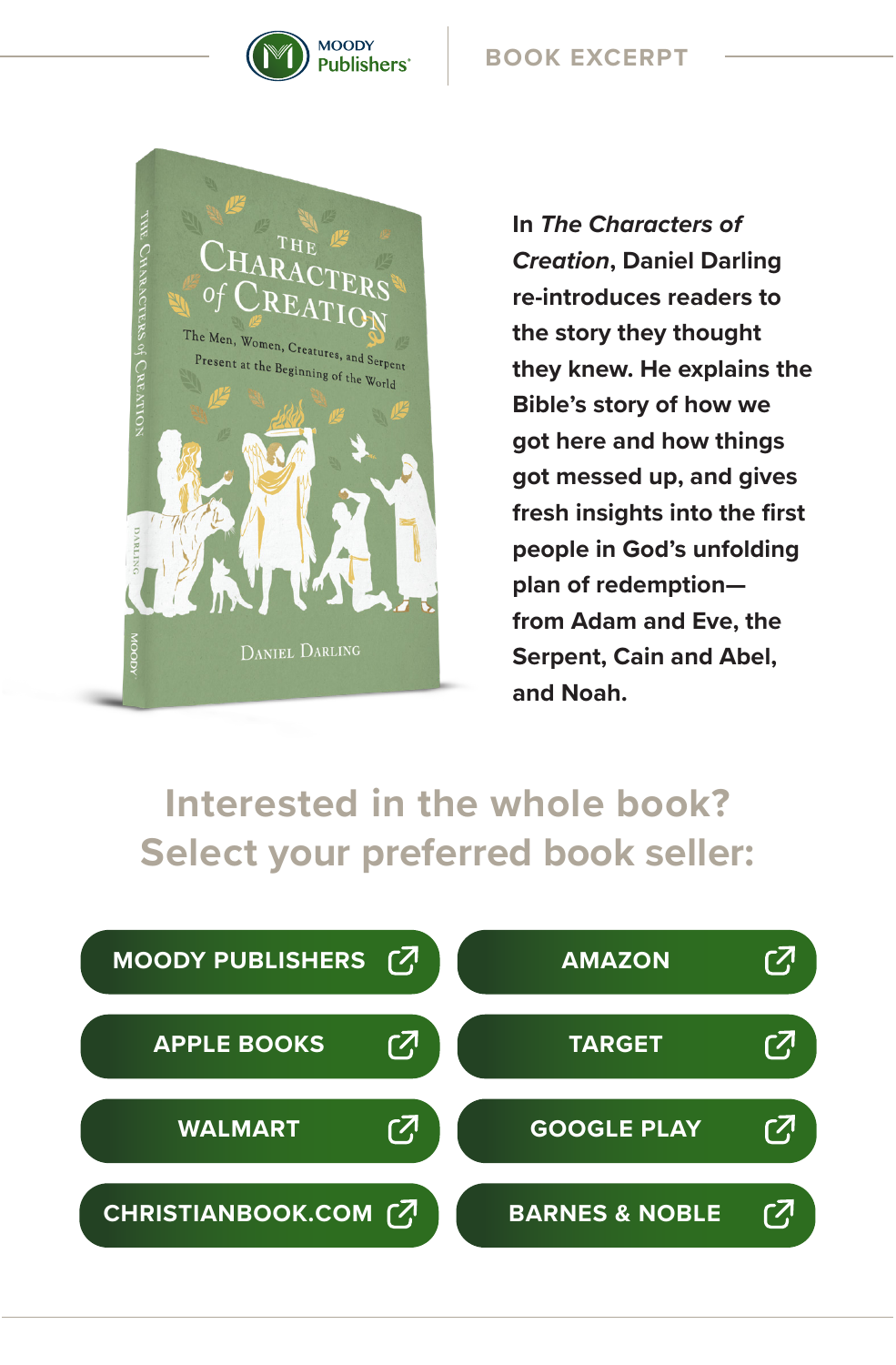

## **BOOK EXCERPT**



**In** *The Characters of Creation***, Daniel Darling re-introduces readers to the story they thought they knew. He explains the Bible's story of how we got here and how things got messed up, and gives fresh insights into the first people in God's unfolding plan of redemption from Adam and Eve, the Serpent, Cain and Abel, and Noah.**

## **Interested in the whole book? Select your preferred book seller:**

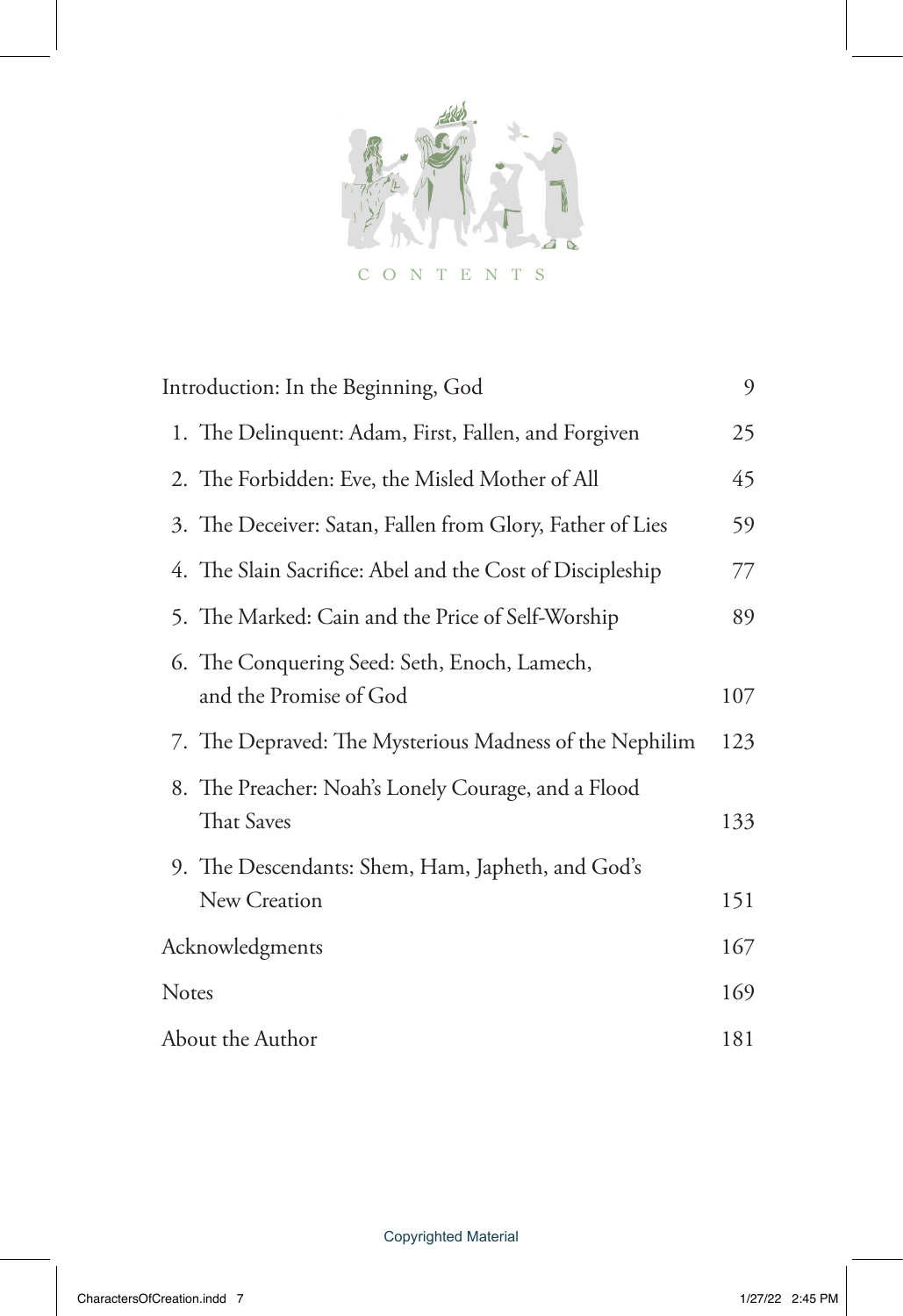$\overline{Q}$ ā CONTENTS

| Introduction: In the Beginning, God |                                                                          | 9   |
|-------------------------------------|--------------------------------------------------------------------------|-----|
|                                     | 1. The Delinquent: Adam, First, Fallen, and Forgiven                     | 25  |
|                                     | 2. The Forbidden: Eve, the Misled Mother of All                          | 45  |
|                                     | 3. The Deceiver: Satan, Fallen from Glory, Father of Lies                | 59  |
|                                     | 4. The Slain Sacrifice: Abel and the Cost of Discipleship                | 77  |
|                                     | 5. The Marked: Cain and the Price of Self-Worship                        | 89  |
|                                     | 6. The Conquering Seed: Seth, Enoch, Lamech,<br>and the Promise of God   | 107 |
|                                     | 7. The Depraved: The Mysterious Madness of the Nephilim                  | 123 |
|                                     | 8. The Preacher: Noah's Lonely Courage, and a Flood<br><b>That Saves</b> | 133 |
|                                     | 9. The Descendants: Shem, Ham, Japheth, and God's                        |     |
|                                     | New Creation                                                             | 151 |
| Acknowledgments                     |                                                                          | 167 |
| Notes                               |                                                                          | 169 |
| About the Author                    |                                                                          | 181 |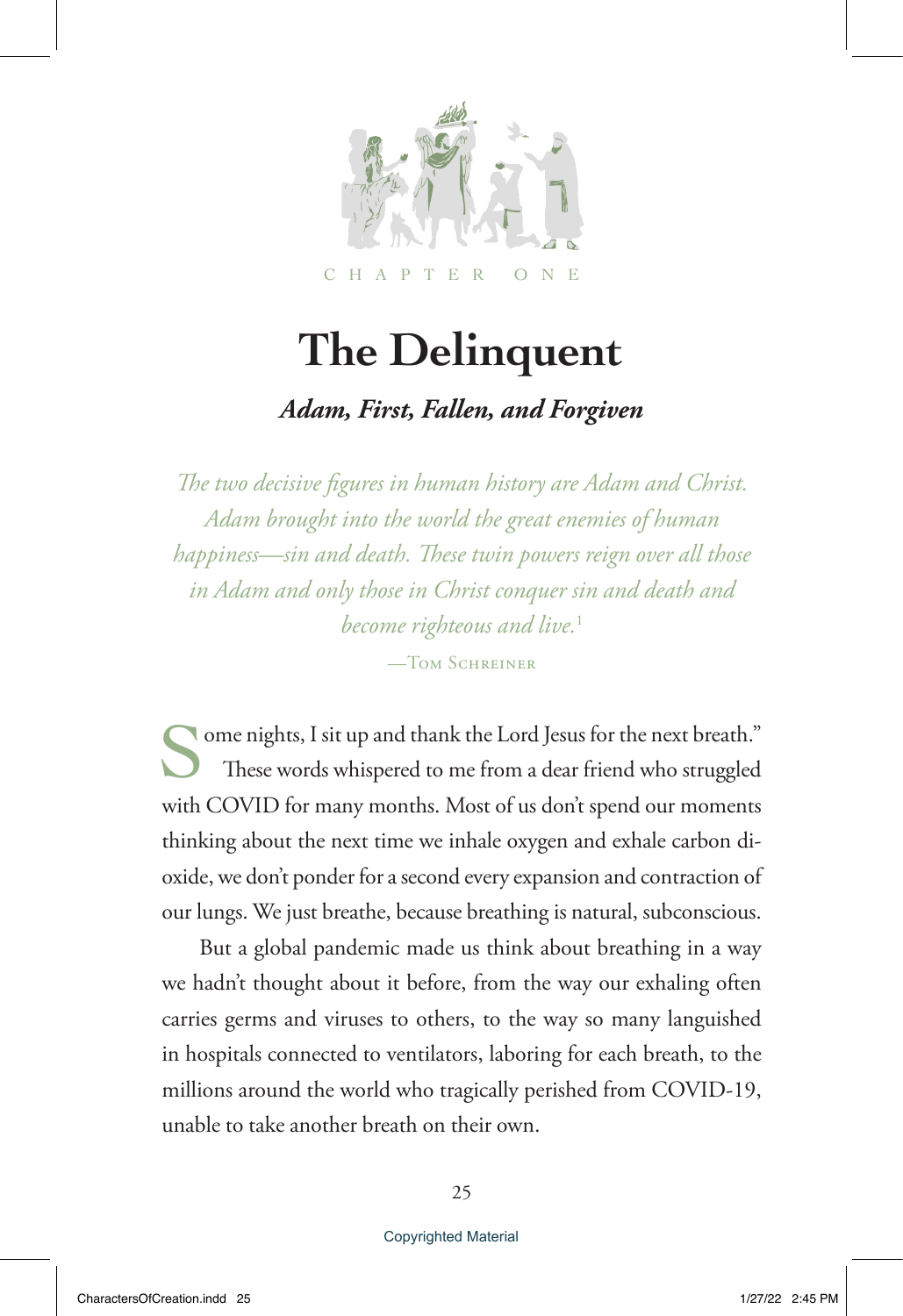

# **The Delinquent**

## *Adam, First, Fallen, and Forgiven*

*The two decisive figures in human history are Adam and Christ. Adam brought into the world the great enemies of human happiness—sin and death. These twin powers reign over all those in Adam and only those in Christ conquer sin and death and become righteous and live.*<sup>1</sup> —Tom Schreiner

Some nights, I sit up and thank the Lord Jesus for the next breath." These words whispered to me from a dear friend who struggled with COVID for many months. Most of us don't spend our moments thinking about the next time we inhale oxygen and exhale carbon dioxide, we don't ponder for a second every expansion and contraction of our lungs. We just breathe, because breathing is natural, subconscious.

But a global pandemic made us think about breathing in a way we hadn't thought about it before, from the way our exhaling often carries germs and viruses to others, to the way so many languished in hospitals connected to ventilators, laboring for each breath, to the millions around the world who tragically perished from COVID-19, unable to take another breath on their own.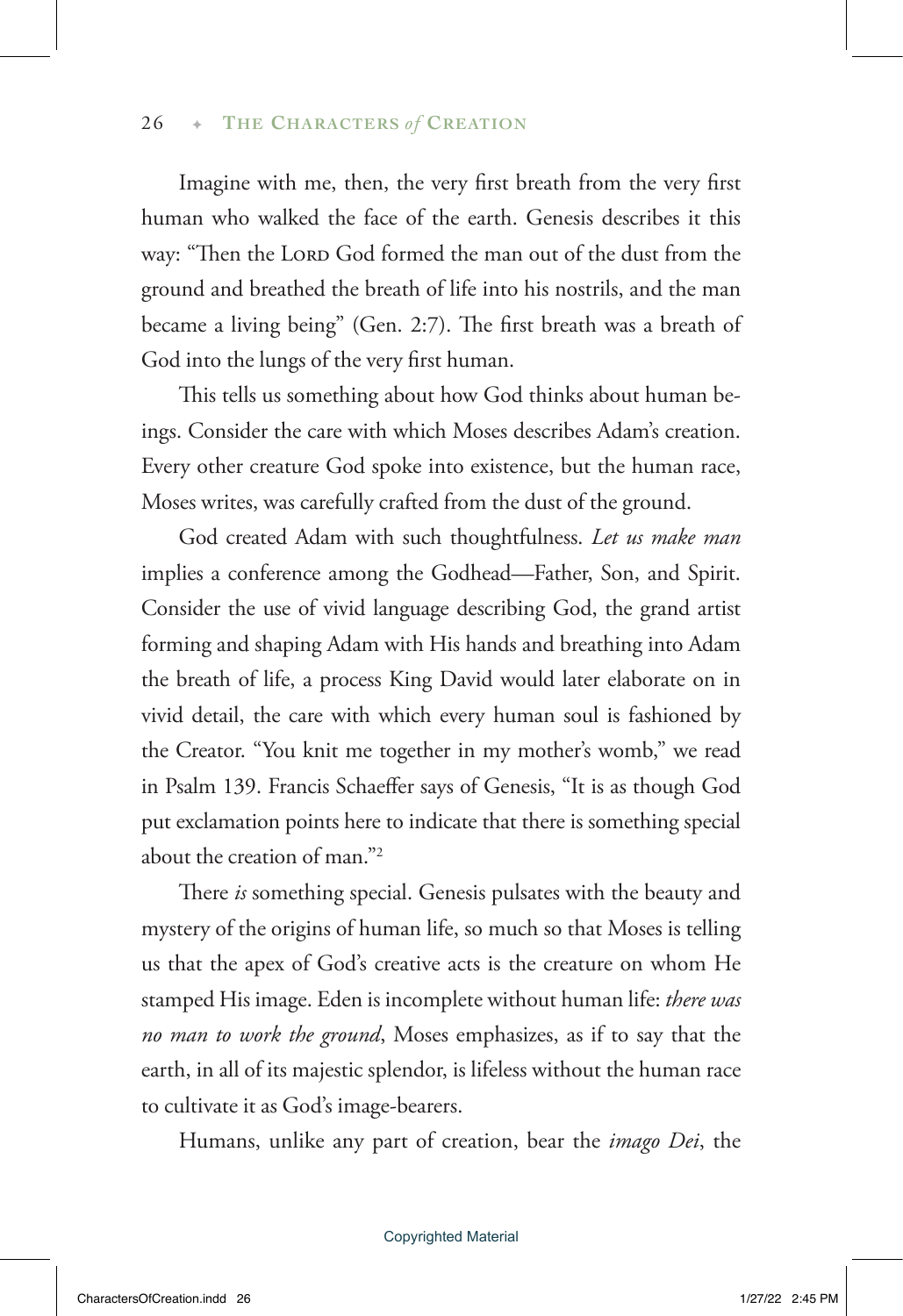Imagine with me, then, the very first breath from the very first human who walked the face of the earth. Genesis describes it this way: "Then the LORD God formed the man out of the dust from the ground and breathed the breath of life into his nostrils, and the man became a living being" (Gen. 2:7). The first breath was a breath of God into the lungs of the very first human.

This tells us something about how God thinks about human beings. Consider the care with which Moses describes Adam's creation. Every other creature God spoke into existence, but the human race, Moses writes, was carefully crafted from the dust of the ground.

God created Adam with such thoughtfulness. *Let us make man* implies a conference among the Godhead—Father, Son, and Spirit. Consider the use of vivid language describing God, the grand artist forming and shaping Adam with His hands and breathing into Adam the breath of life, a process King David would later elaborate on in vivid detail, the care with which every human soul is fashioned by the Creator. "You knit me together in my mother's womb," we read in Psalm 139. Francis Schaeffer says of Genesis, "It is as though God put exclamation points here to indicate that there is something special about the creation of man."2

There *is* something special. Genesis pulsates with the beauty and mystery of the origins of human life, so much so that Moses is telling us that the apex of God's creative acts is the creature on whom He stamped His image. Eden is incomplete without human life: *there was no man to work the ground*, Moses emphasizes, as if to say that the earth, in all of its majestic splendor, is lifeless without the human race to cultivate it as God's image-bearers.

Humans, unlike any part of creation, bear the *imago Dei*, the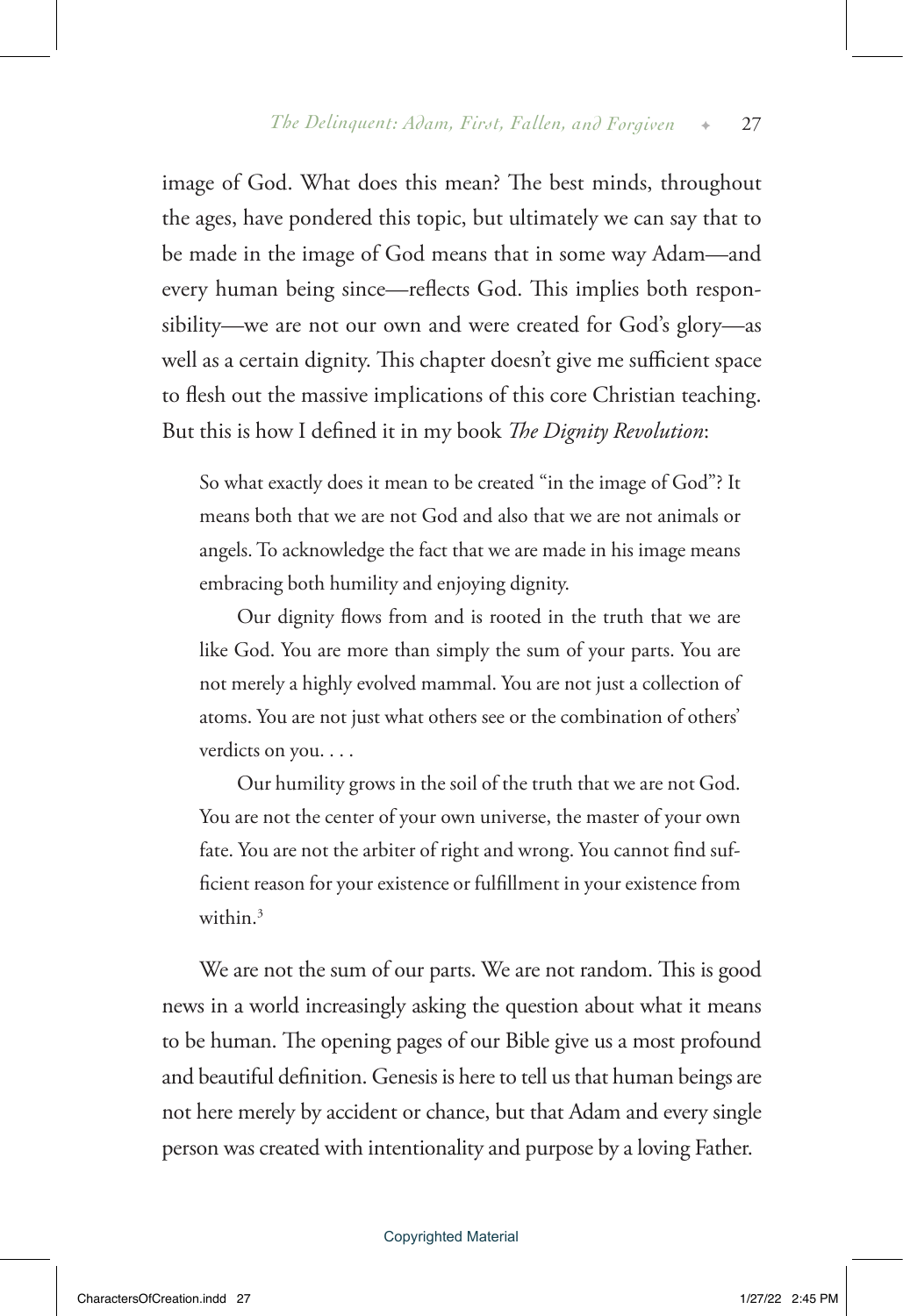image of God. What does this mean? The best minds, throughout the ages, have pondered this topic, but ultimately we can say that to be made in the image of God means that in some way Adam—and every human being since—reflects God. This implies both responsibility—we are not our own and were created for God's glory—as well as a certain dignity. This chapter doesn't give me sufficient space to flesh out the massive implications of this core Christian teaching. But this is how I defined it in my book *The Dignity Revolution*:

So what exactly does it mean to be created "in the image of God"? It means both that we are not God and also that we are not animals or angels. To acknowledge the fact that we are made in his image means embracing both humility and enjoying dignity.

Our dignity flows from and is rooted in the truth that we are like God. You are more than simply the sum of your parts. You are not merely a highly evolved mammal. You are not just a collection of atoms. You are not just what others see or the combination of others' verdicts on you. . . .

Our humility grows in the soil of the truth that we are not God. You are not the center of your own universe, the master of your own fate. You are not the arbiter of right and wrong. You cannot find sufficient reason for your existence or fulfillment in your existence from within  $3$ 

We are not the sum of our parts. We are not random. This is good news in a world increasingly asking the question about what it means to be human. The opening pages of our Bible give us a most profound and beautiful definition. Genesis is here to tell us that human beings are not here merely by accident or chance, but that Adam and every single person was created with intentionality and purpose by a loving Father.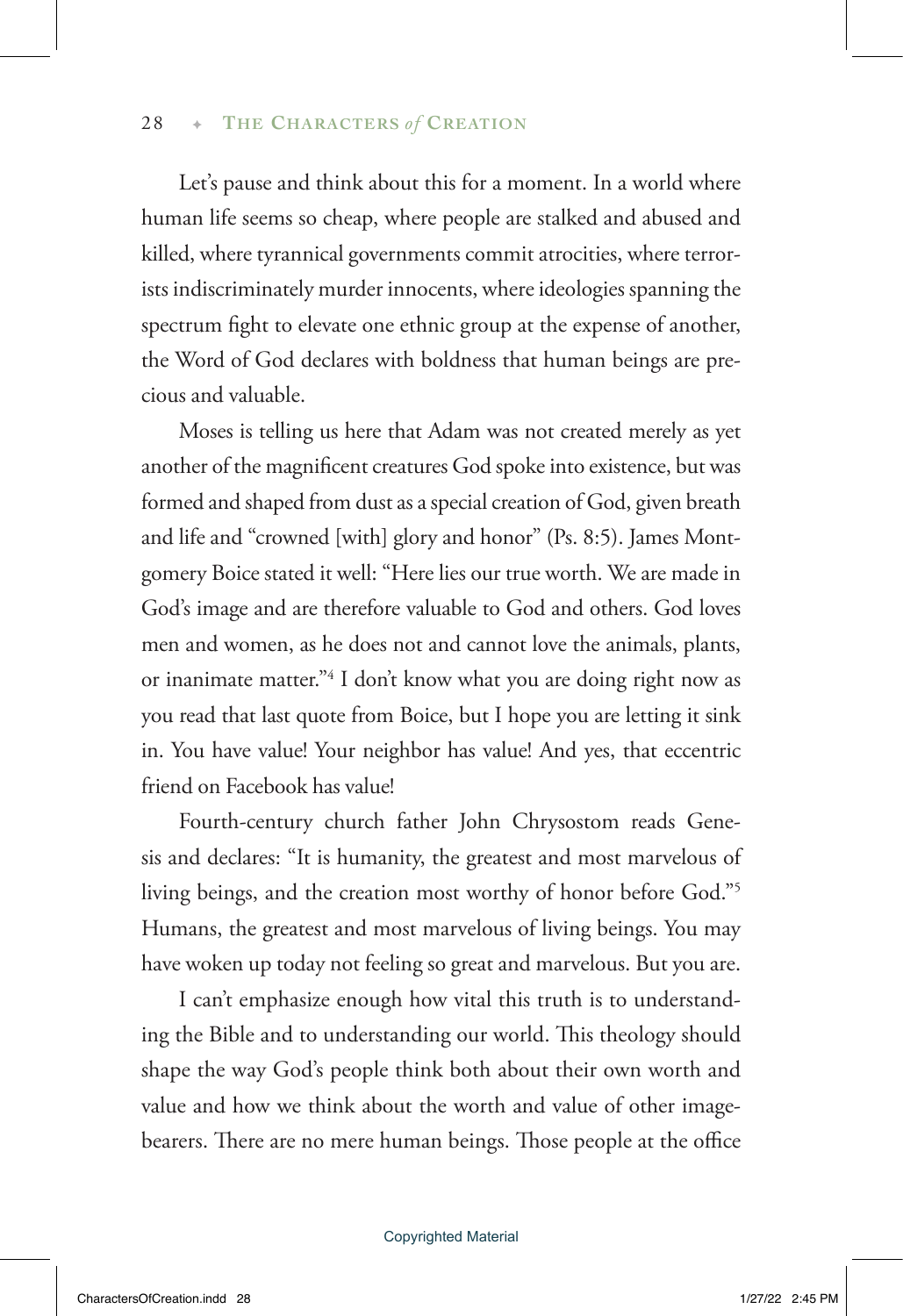Let's pause and think about this for a moment. In a world where human life seems so cheap, where people are stalked and abused and killed, where tyrannical governments commit atrocities, where terrorists indiscriminately murder innocents, where ideologies spanning the spectrum fight to elevate one ethnic group at the expense of another, the Word of God declares with boldness that human beings are precious and valuable.

Moses is telling us here that Adam was not created merely as yet another of the magnificent creatures God spoke into existence, but was formed and shaped from dust as a special creation of God, given breath and life and "crowned [with] glory and honor" (Ps. 8:5). James Montgomery Boice stated it well: "Here lies our true worth. We are made in God's image and are therefore valuable to God and others. God loves men and women, as he does not and cannot love the animals, plants, or inanimate matter."4 I don't know what you are doing right now as you read that last quote from Boice, but I hope you are letting it sink in. You have value! Your neighbor has value! And yes, that eccentric friend on Facebook has value!

Fourth-century church father John Chrysostom reads Genesis and declares: "It is humanity, the greatest and most marvelous of living beings, and the creation most worthy of honor before God."5 Humans, the greatest and most marvelous of living beings. You may have woken up today not feeling so great and marvelous. But you are.

I can't emphasize enough how vital this truth is to understanding the Bible and to understanding our world. This theology should shape the way God's people think both about their own worth and value and how we think about the worth and value of other imagebearers. There are no mere human beings. Those people at the office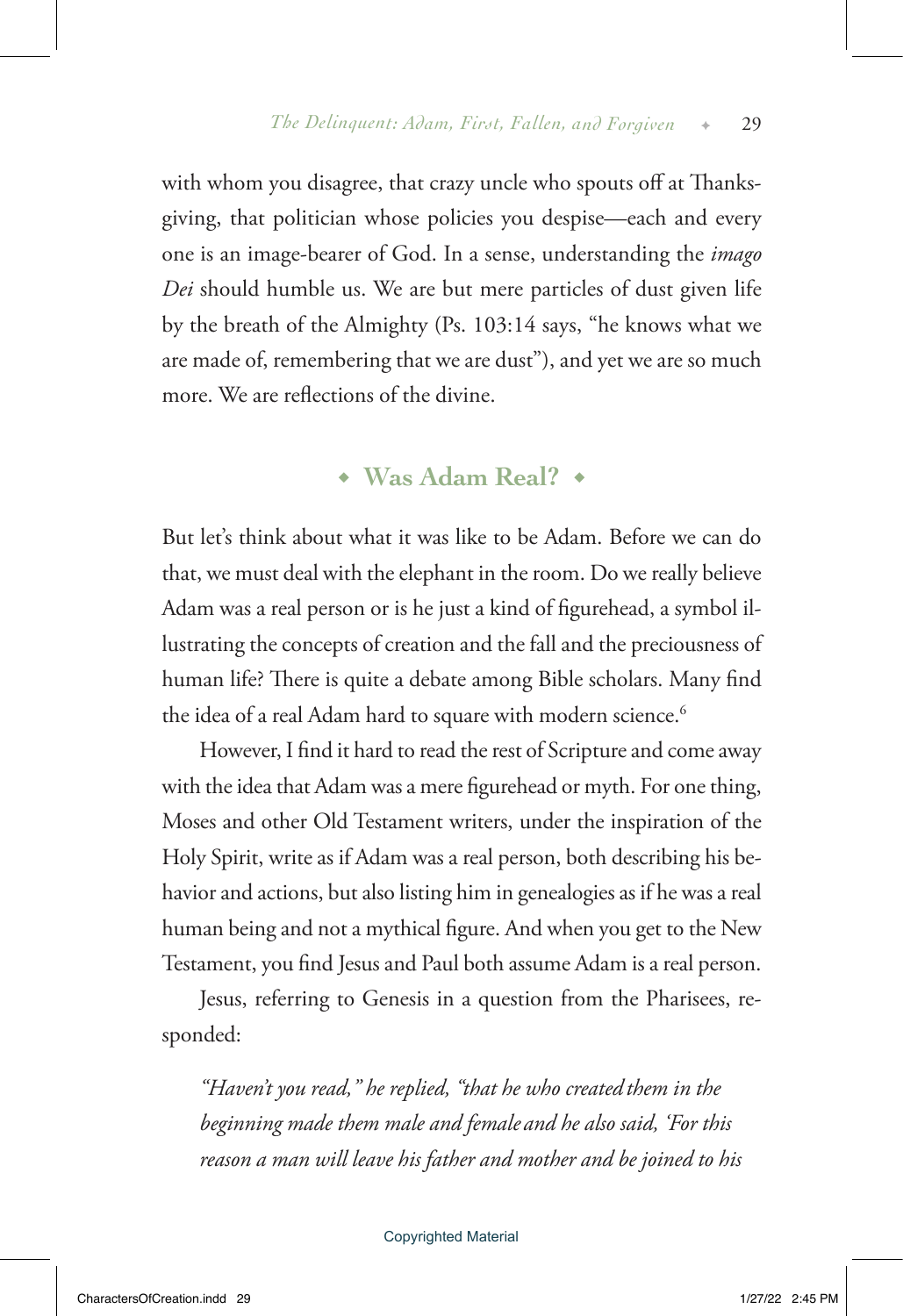with whom you disagree, that crazy uncle who spouts off at Thanksgiving, that politician whose policies you despise—each and every one is an image-bearer of God. In a sense, understanding the *imago Dei* should humble us. We are but mere particles of dust given life by the breath of the Almighty (Ps. 103:14 says, "he knows what we are made of, remembering that we are dust"), and yet we are so much more. We are reflections of the divine.

◆ **Was Adam Real?** ◆

But let's think about what it was like to be Adam. Before we can do that, we must deal with the elephant in the room. Do we really believe Adam was a real person or is he just a kind of figurehead, a symbol illustrating the concepts of creation and the fall and the preciousness of human life? There is quite a debate among Bible scholars. Many find the idea of a real Adam hard to square with modern science.<sup>6</sup>

However, I find it hard to read the rest of Scripture and come away with the idea that Adam was a mere figurehead or myth. For one thing, Moses and other Old Testament writers, under the inspiration of the Holy Spirit, write as if Adam was a real person, both describing his behavior and actions, but also listing him in genealogies as if he was a real human being and not a mythical figure. And when you get to the New Testament, you find Jesus and Paul both assume Adam is a real person.

Jesus, referring to Genesis in a question from the Pharisees, responded:

*"Haven't you read," he replied, "that he who created them in the beginning made them male and female and he also said, 'For this reason a man will leave his father and mother and be joined to his*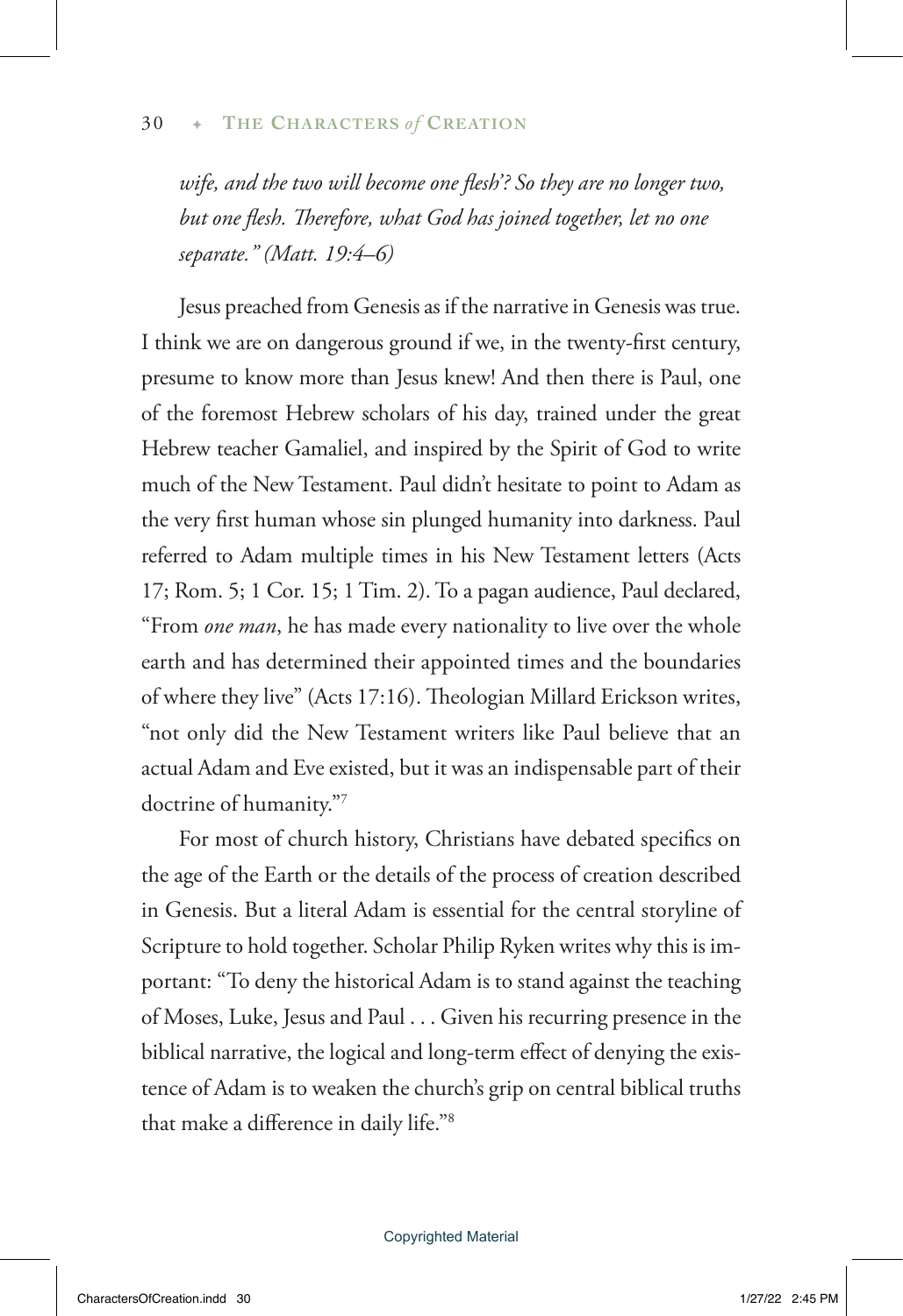wife, and the two will become one flesh'? So they are no longer two, *but one flesh. Therefore, what God has joined together, let no one separate." (Matt. 19:4–6)* 

Jesus preached from Genesis as if the narrative in Genesis was true. I think we are on dangerous ground if we, in the twenty-first century, presume to know more than Jesus knew! And then there is Paul, one of the foremost Hebrew scholars of his day, trained under the great Hebrew teacher Gamaliel, and inspired by the Spirit of God to write much of the New Testament. Paul didn't hesitate to point to Adam as the very first human whose sin plunged humanity into darkness. Paul referred to Adam multiple times in his New Testament letters (Acts 17; Rom. 5; 1 Cor. 15; 1 Tim. 2). To a pagan audience, Paul declared, "From *one man*, he has made every nationality to live over the whole earth and has determined their appointed times and the boundaries of where they live" (Acts 17:16). Theologian Millard Erickson writes, "not only did the New Testament writers like Paul believe that an actual Adam and Eve existed, but it was an indispensable part of their doctrine of humanity."7

For most of church history, Christians have debated specifics on the age of the Earth or the details of the process of creation described in Genesis. But a literal Adam is essential for the central storyline of Scripture to hold together. Scholar Philip Ryken writes why this is important: "To deny the historical Adam is to stand against the teaching of Moses, Luke, Jesus and Paul . . . Given his recurring presence in the biblical narrative, the logical and long-term effect of denying the existence of Adam is to weaken the church's grip on central biblical truths that make a difference in daily life."8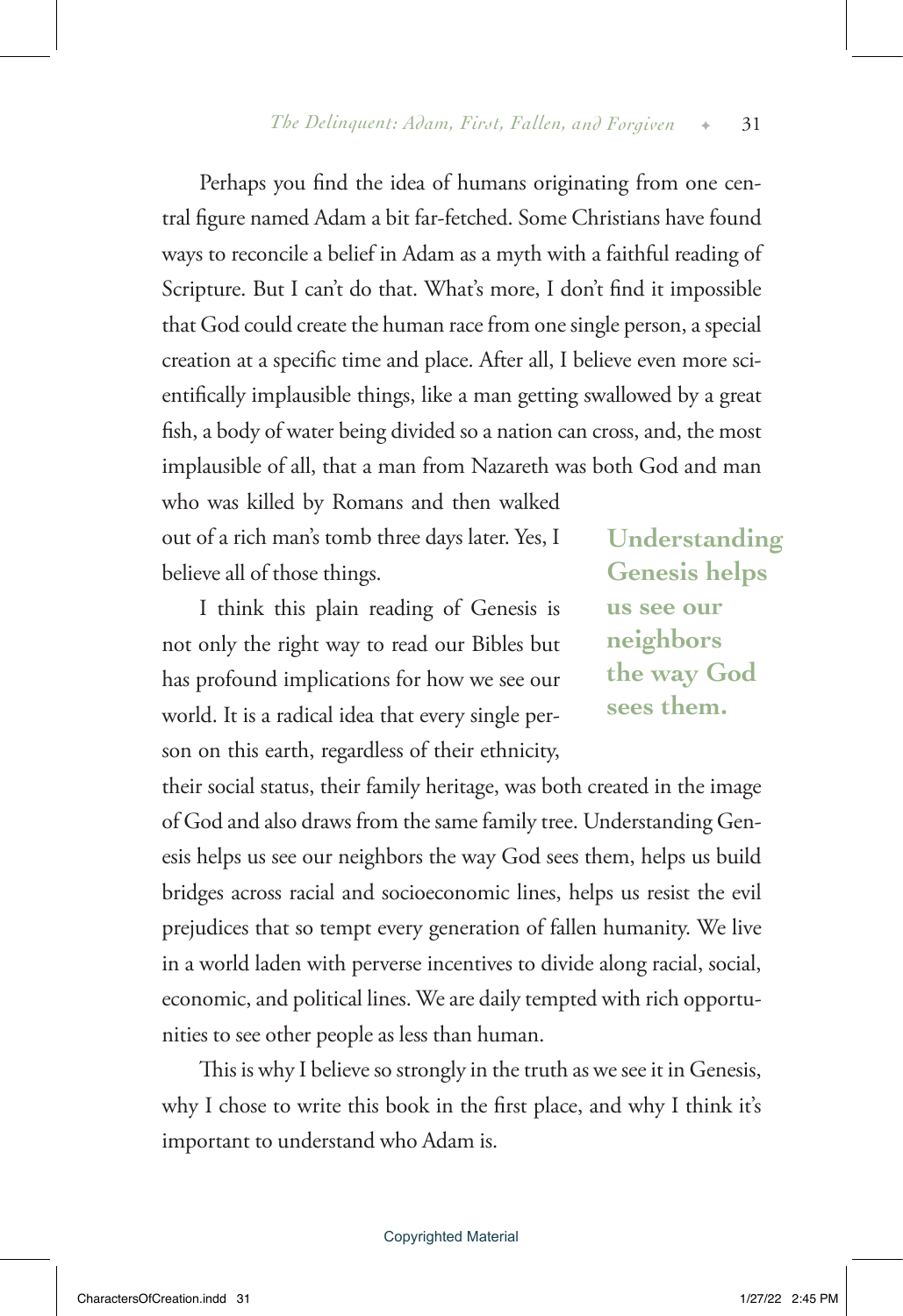Perhaps you find the idea of humans originating from one central figure named Adam a bit far-fetched. Some Christians have found ways to reconcile a belief in Adam as a myth with a faithful reading of Scripture. But I can't do that. What's more, I don't find it impossible that God could create the human race from one single person, a special creation at a specific time and place. After all, I believe even more scientifically implausible things, like a man getting swallowed by a great fish, a body of water being divided so a nation can cross, and, the most implausible of all, that a man from Nazareth was both God and man

who was killed by Romans and then walked out of a rich man's tomb three days later. Yes, I believe all of those things.

I think this plain reading of Genesis is not only the right way to read our Bibles but has profound implications for how we see our world. It is a radical idea that every single person on this earth, regardless of their ethnicity,

**Understanding Genesis helps us see our neighbors the way God sees them.**

their social status, their family heritage, was both created in the image of God and also draws from the same family tree. Understanding Genesis helps us see our neighbors the way God sees them, helps us build bridges across racial and socioeconomic lines, helps us resist the evil prejudices that so tempt every generation of fallen humanity. We live in a world laden with perverse incentives to divide along racial, social, economic, and political lines. We are daily tempted with rich opportunities to see other people as less than human.

This is why I believe so strongly in the truth as we see it in Genesis, why I chose to write this book in the first place, and why I think it's important to understand who Adam is.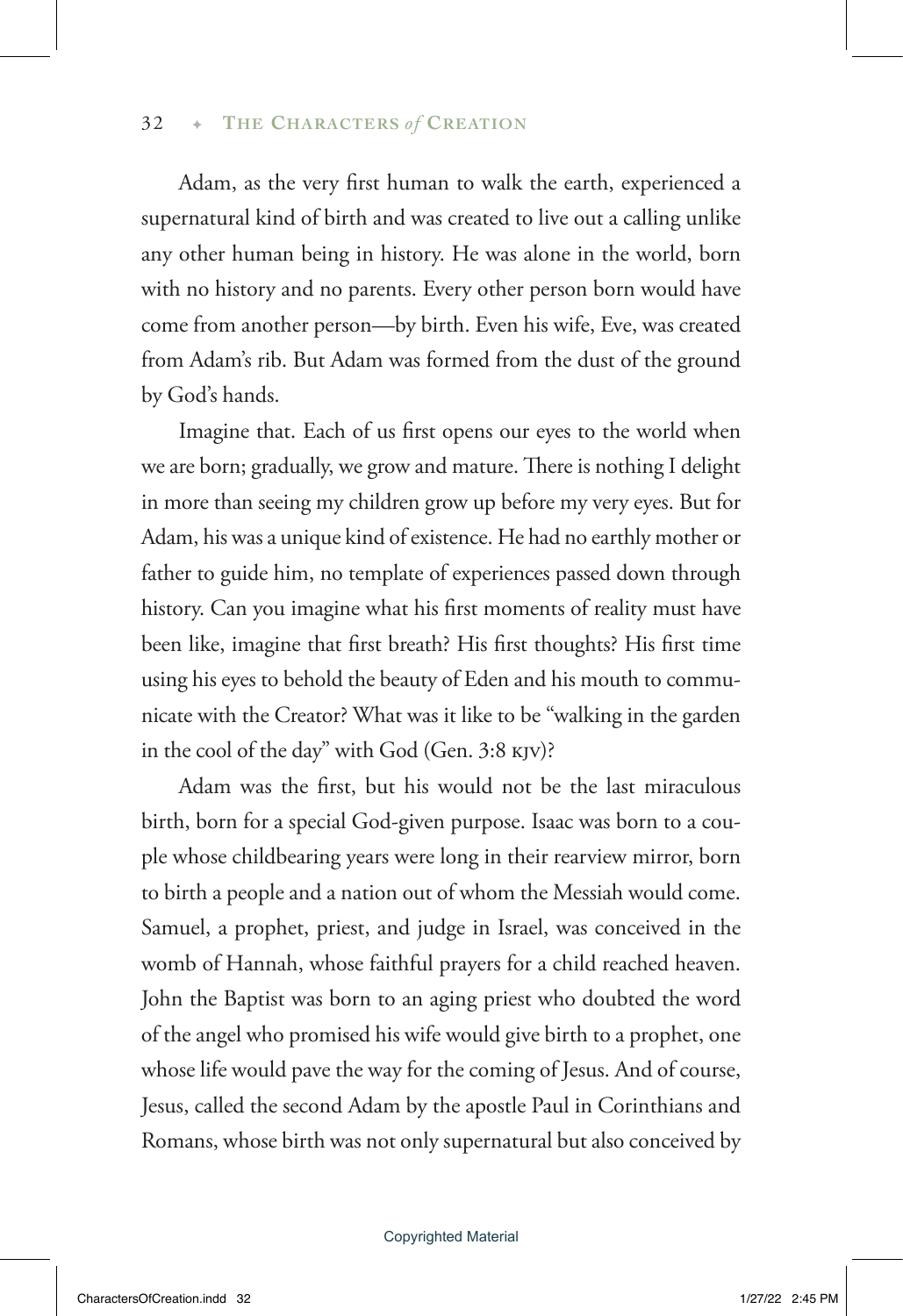### 32 → THE CHARACTERS of CREATION

Adam, as the very first human to walk the earth, experienced a supernatural kind of birth and was created to live out a calling unlike any other human being in history. He was alone in the world, born with no history and no parents. Every other person born would have come from another person—by birth. Even his wife, Eve, was created from Adam's rib. But Adam was formed from the dust of the ground by God's hands.

Imagine that. Each of us first opens our eyes to the world when we are born; gradually, we grow and mature. There is nothing I delight in more than seeing my children grow up before my very eyes. But for Adam, his was a unique kind of existence. He had no earthly mother or father to guide him, no template of experiences passed down through history. Can you imagine what his first moments of reality must have been like, imagine that first breath? His first thoughts? His first time using his eyes to behold the beauty of Eden and his mouth to communicate with the Creator? What was it like to be "walking in the garden in the cool of the day" with God (Gen. 3:8 kjv)?

Adam was the first, but his would not be the last miraculous birth, born for a special God-given purpose. Isaac was born to a couple whose childbearing years were long in their rearview mirror, born to birth a people and a nation out of whom the Messiah would come. Samuel, a prophet, priest, and judge in Israel, was conceived in the womb of Hannah, whose faithful prayers for a child reached heaven. John the Baptist was born to an aging priest who doubted the word of the angel who promised his wife would give birth to a prophet, one whose life would pave the way for the coming of Jesus. And of course, Jesus, called the second Adam by the apostle Paul in Corinthians and Romans, whose birth was not only supernatural but also conceived by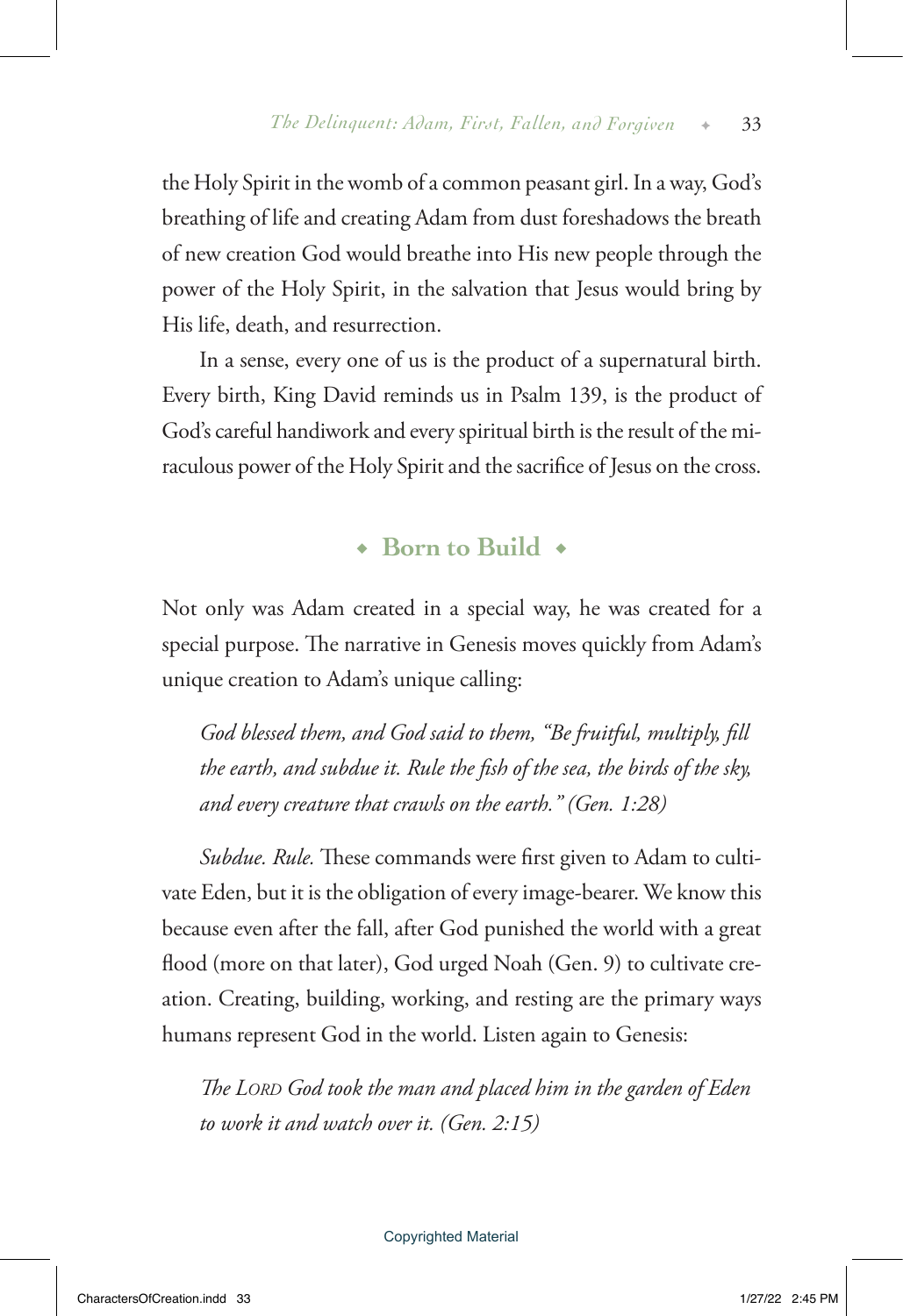the Holy Spirit in the womb of a common peasant girl. In a way, God's breathing of life and creating Adam from dust foreshadows the breath of new creation God would breathe into His new people through the power of the Holy Spirit, in the salvation that Jesus would bring by His life, death, and resurrection.

In a sense, every one of us is the product of a supernatural birth. Every birth, King David reminds us in Psalm 139, is the product of God's careful handiwork and every spiritual birth is the result of the miraculous power of the Holy Spirit and the sacrifice of Jesus on the cross.

## ◆ **Born to Build** ◆

Not only was Adam created in a special way, he was created for a special purpose. The narrative in Genesis moves quickly from Adam's unique creation to Adam's unique calling:

*God blessed them, and God said to them, "Be fruitful, multiply, fill the earth, and subdue it. Rule the fish of the sea, the birds of the sky, and every creature that crawls on the earth." (Gen. 1:28)* 

*Subdue. Rule.* These commands were first given to Adam to cultivate Eden, but it is the obligation of every image-bearer. We know this because even after the fall, after God punished the world with a great flood (more on that later), God urged Noah (Gen. 9) to cultivate creation. Creating, building, working, and resting are the primary ways humans represent God in the world. Listen again to Genesis:

*The Lord God took the man and placed him in the garden of Eden to work it and watch over it. (Gen. 2:15)*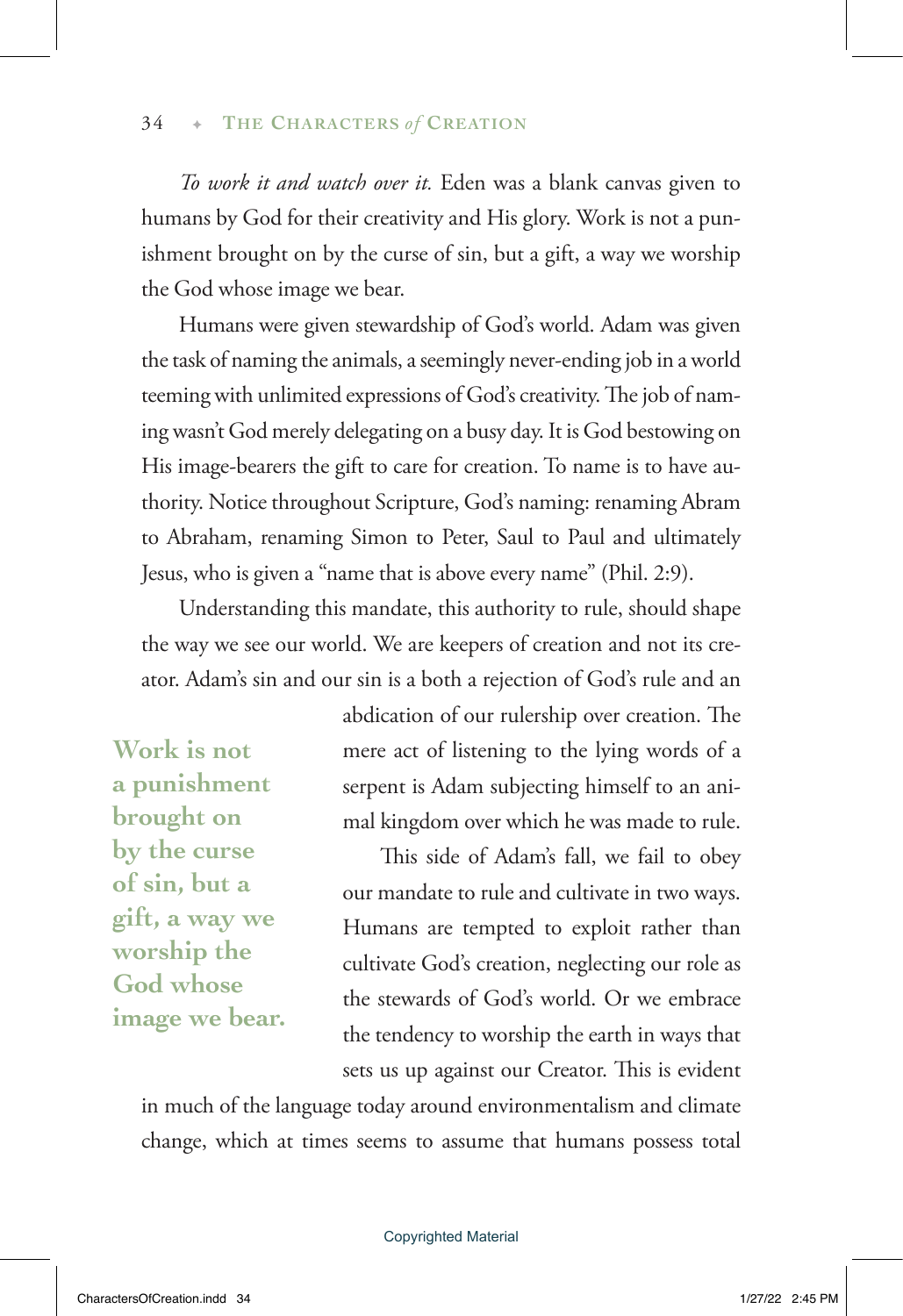*To work it and watch over it.* Eden was a blank canvas given to humans by God for their creativity and His glory. Work is not a punishment brought on by the curse of sin, but a gift, a way we worship the God whose image we bear.

Humans were given stewardship of God's world. Adam was given the task of naming the animals, a seemingly never-ending job in a world teeming with unlimited expressions of God's creativity. The job of naming wasn't God merely delegating on a busy day. It is God bestowing on His image-bearers the gift to care for creation. To name is to have authority. Notice throughout Scripture, God's naming: renaming Abram to Abraham, renaming Simon to Peter, Saul to Paul and ultimately Jesus, who is given a "name that is above every name" (Phil. 2:9).

Understanding this mandate, this authority to rule, should shape the way we see our world. We are keepers of creation and not its creator. Adam's sin and our sin is a both a rejection of God's rule and an

**Work is not a punishment brought on by the curse of sin, but a gift, a way we worship the God whose image we bear.** abdication of our rulership over creation. The mere act of listening to the lying words of a serpent is Adam subjecting himself to an animal kingdom over which he was made to rule.

This side of Adam's fall, we fail to obey our mandate to rule and cultivate in two ways. Humans are tempted to exploit rather than cultivate God's creation, neglecting our role as the stewards of God's world. Or we embrace the tendency to worship the earth in ways that sets us up against our Creator. This is evident

in much of the language today around environmentalism and climate change, which at times seems to assume that humans possess total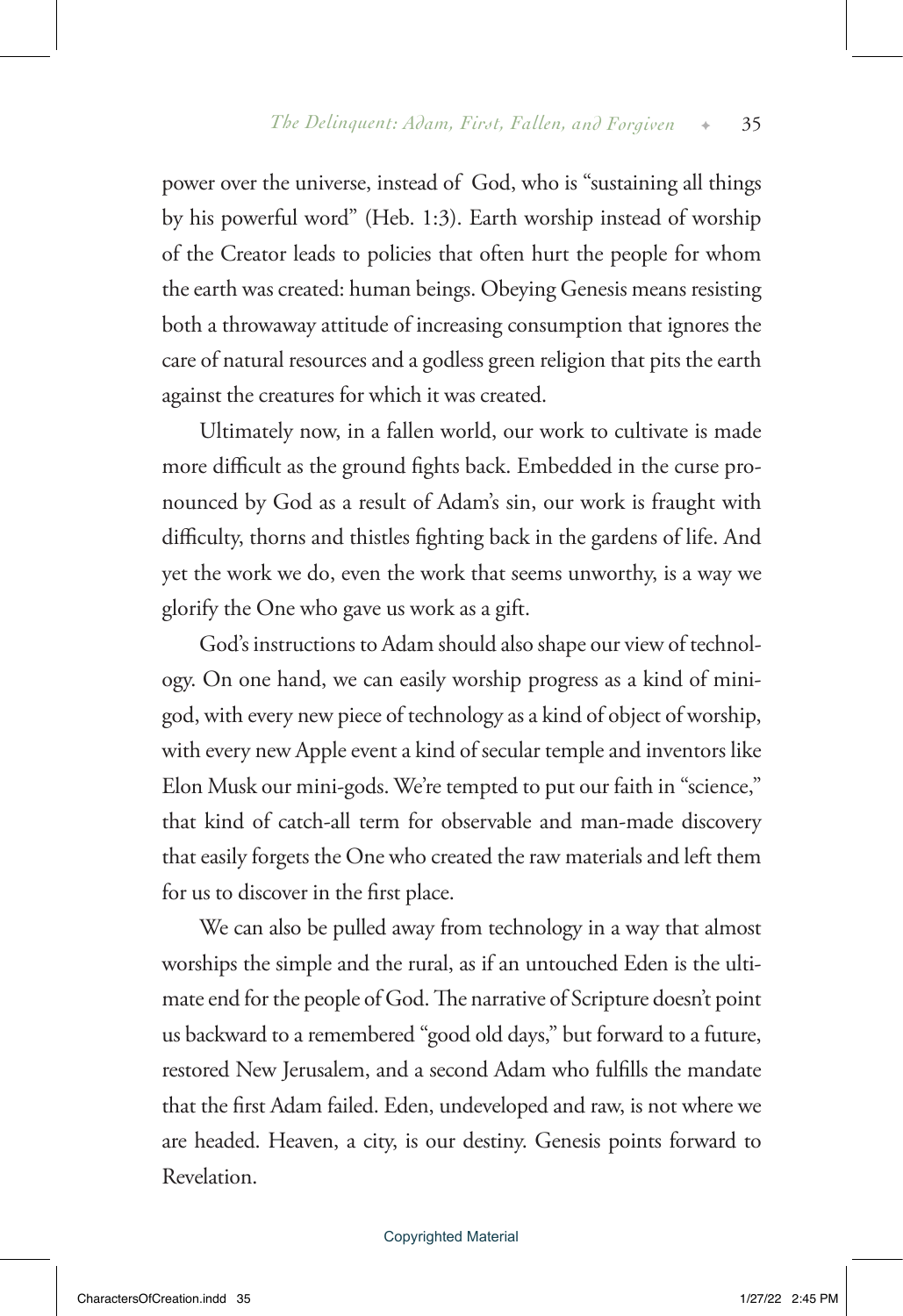power over the universe, instead of God, who is "sustaining all things by his powerful word" (Heb. 1:3). Earth worship instead of worship of the Creator leads to policies that often hurt the people for whom the earth was created: human beings. Obeying Genesis means resisting both a throwaway attitude of increasing consumption that ignores the care of natural resources and a godless green religion that pits the earth against the creatures for which it was created.

Ultimately now, in a fallen world, our work to cultivate is made more difficult as the ground fights back. Embedded in the curse pronounced by God as a result of Adam's sin, our work is fraught with difficulty, thorns and thistles fighting back in the gardens of life. And yet the work we do, even the work that seems unworthy, is a way we glorify the One who gave us work as a gift.

God's instructions to Adam should also shape our view of technology. On one hand, we can easily worship progress as a kind of minigod, with every new piece of technology as a kind of object of worship, with every new Apple event a kind of secular temple and inventors like Elon Musk our mini-gods. We're tempted to put our faith in "science," that kind of catch-all term for observable and man-made discovery that easily forgets the One who created the raw materials and left them for us to discover in the first place.

We can also be pulled away from technology in a way that almost worships the simple and the rural, as if an untouched Eden is the ultimate end for the people of God. The narrative of Scripture doesn't point us backward to a remembered "good old days," but forward to a future, restored New Jerusalem, and a second Adam who fulfills the mandate that the first Adam failed. Eden, undeveloped and raw, is not where we are headed. Heaven, a city, is our destiny. Genesis points forward to Revelation.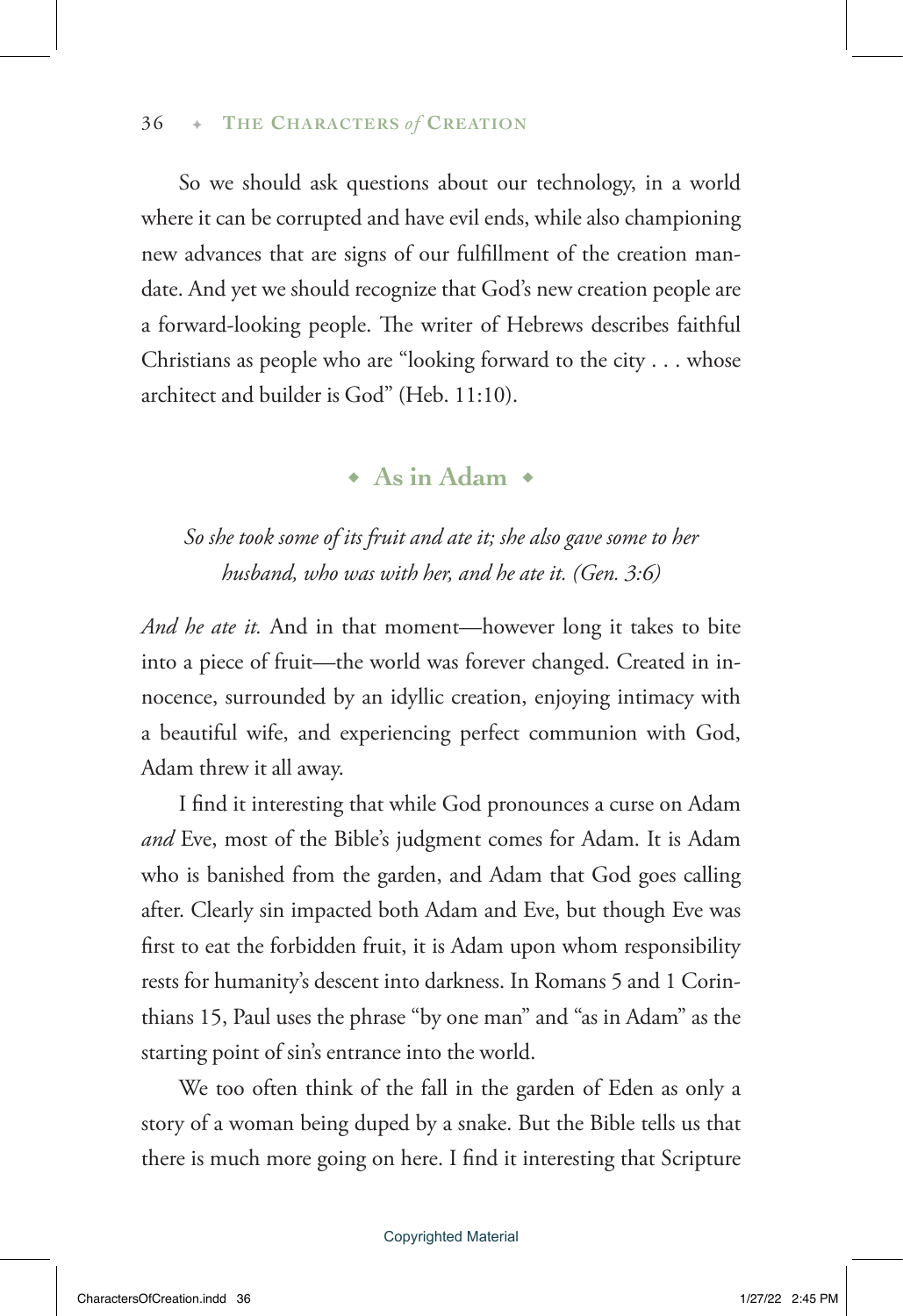## 36  $\rightarrow$  THE CHARACTERS of CREATION

So we should ask questions about our technology, in a world where it can be corrupted and have evil ends, while also championing new advances that are signs of our fulfillment of the creation mandate. And yet we should recognize that God's new creation people are a forward-looking people. The writer of Hebrews describes faithful Christians as people who are "looking forward to the city . . . whose architect and builder is God" (Heb. 11:10).

## ◆ **As in Adam** ◆

## *So she took some of its fruit and ate it; she also gave some to her husband, who was with her, and he ate it. (Gen. 3:6)*

*And he ate it.* And in that moment—however long it takes to bite into a piece of fruit—the world was forever changed. Created in innocence, surrounded by an idyllic creation, enjoying intimacy with a beautiful wife, and experiencing perfect communion with God, Adam threw it all away.

I find it interesting that while God pronounces a curse on Adam *and* Eve, most of the Bible's judgment comes for Adam. It is Adam who is banished from the garden, and Adam that God goes calling after. Clearly sin impacted both Adam and Eve, but though Eve was first to eat the forbidden fruit, it is Adam upon whom responsibility rests for humanity's descent into darkness. In Romans 5 and 1 Corinthians 15, Paul uses the phrase "by one man" and "as in Adam" as the starting point of sin's entrance into the world.

We too often think of the fall in the garden of Eden as only a story of a woman being duped by a snake. But the Bible tells us that there is much more going on here. I find it interesting that Scripture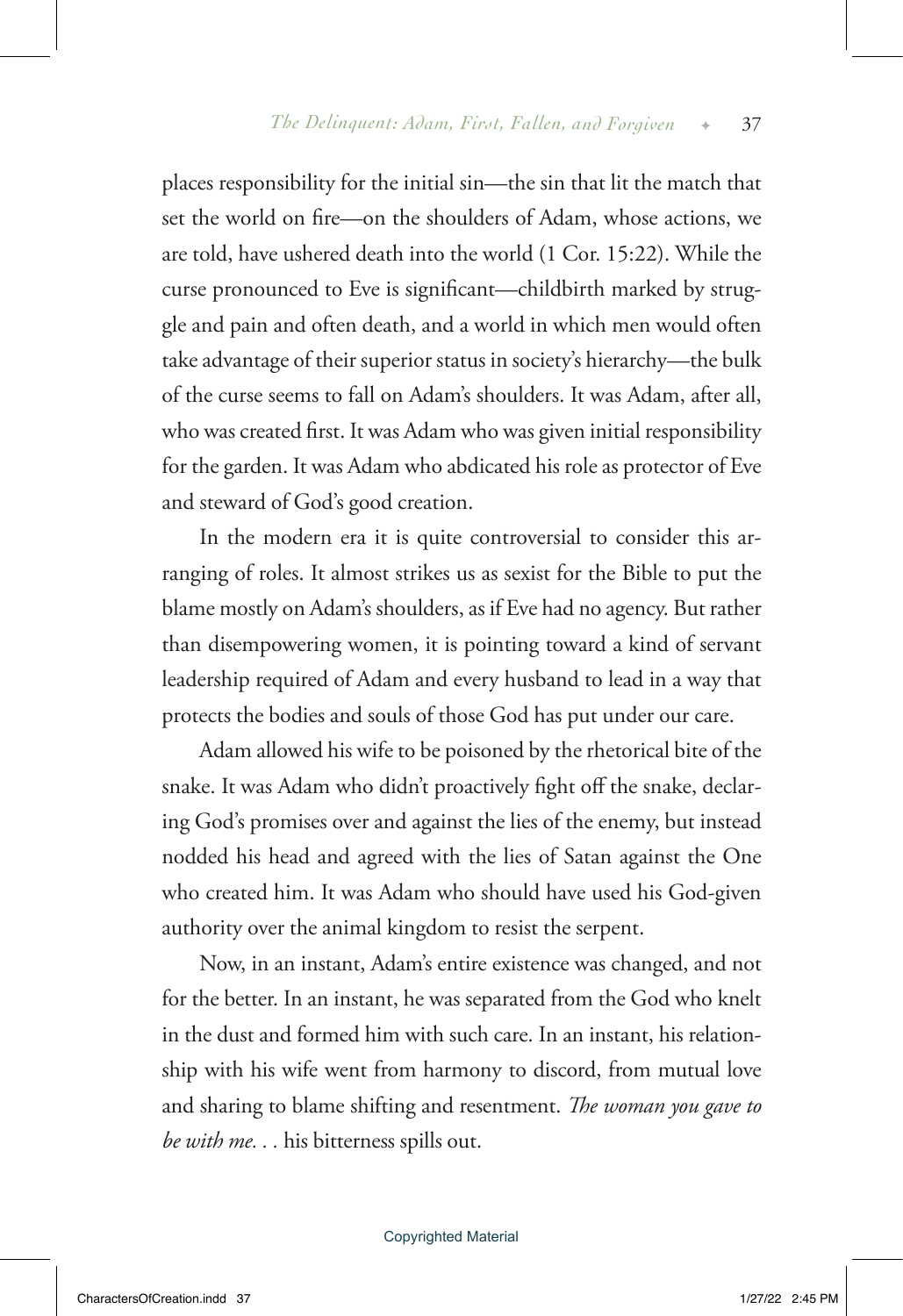places responsibility for the initial sin—the sin that lit the match that set the world on fire—on the shoulders of Adam, whose actions, we are told, have ushered death into the world (1 Cor. 15:22). While the curse pronounced to Eve is significant—childbirth marked by struggle and pain and often death, and a world in which men would often take advantage of their superior status in society's hierarchy—the bulk of the curse seems to fall on Adam's shoulders. It was Adam, after all, who was created first. It was Adam who was given initial responsibility for the garden. It was Adam who abdicated his role as protector of Eve and steward of God's good creation.

In the modern era it is quite controversial to consider this arranging of roles. It almost strikes us as sexist for the Bible to put the blame mostly on Adam's shoulders, as if Eve had no agency. But rather than disempowering women, it is pointing toward a kind of servant leadership required of Adam and every husband to lead in a way that protects the bodies and souls of those God has put under our care.

Adam allowed his wife to be poisoned by the rhetorical bite of the snake. It was Adam who didn't proactively fight off the snake, declaring God's promises over and against the lies of the enemy, but instead nodded his head and agreed with the lies of Satan against the One who created him. It was Adam who should have used his God-given authority over the animal kingdom to resist the serpent.

Now, in an instant, Adam's entire existence was changed, and not for the better. In an instant, he was separated from the God who knelt in the dust and formed him with such care. In an instant, his relationship with his wife went from harmony to discord, from mutual love and sharing to blame shifting and resentment. *The woman you gave to be with me. . .* his bitterness spills out.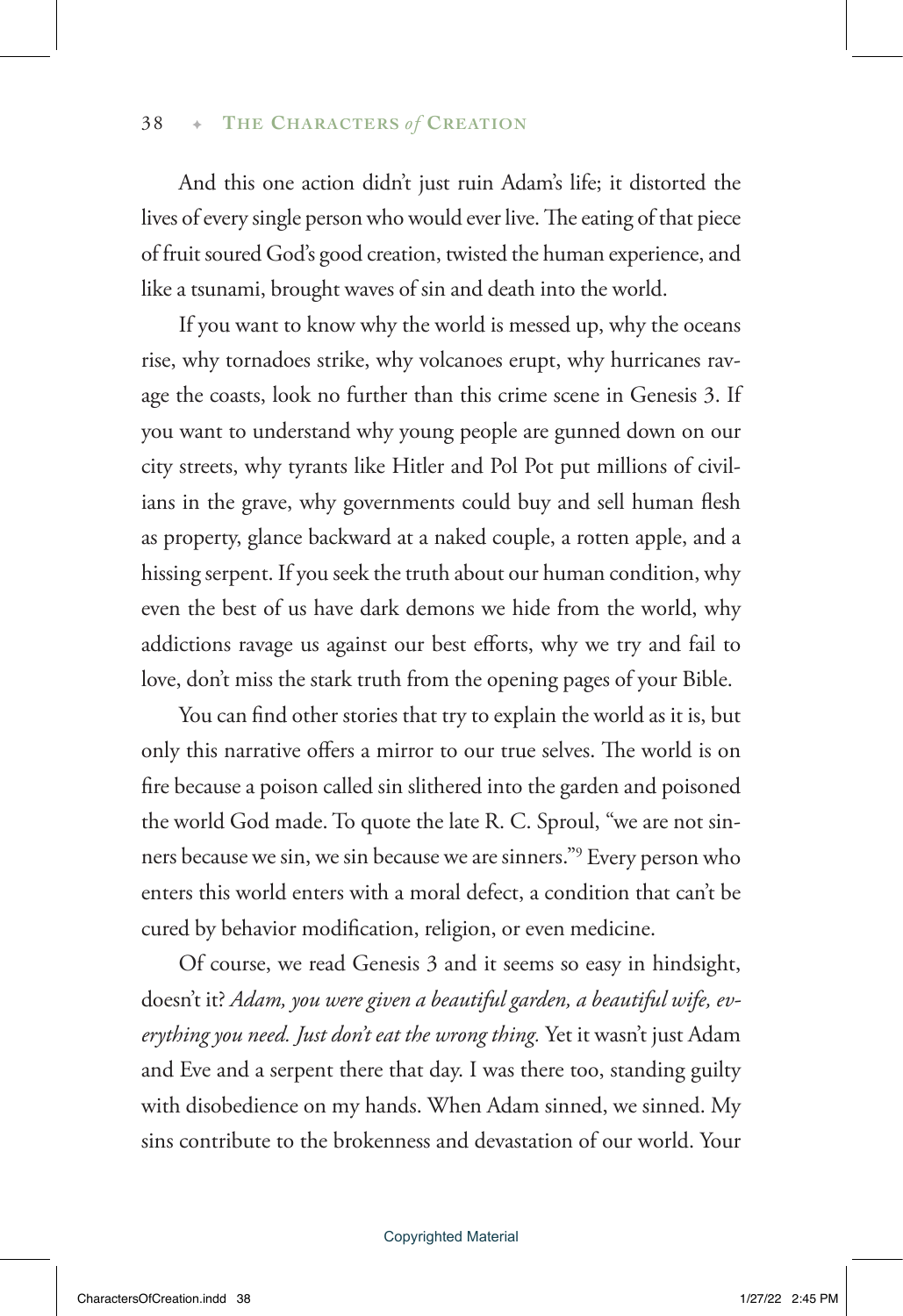And this one action didn't just ruin Adam's life; it distorted the lives of every single person who would ever live. The eating of that piece of fruit soured God's good creation, twisted the human experience, and like a tsunami, brought waves of sin and death into the world.

If you want to know why the world is messed up, why the oceans rise, why tornadoes strike, why volcanoes erupt, why hurricanes ravage the coasts, look no further than this crime scene in Genesis 3. If you want to understand why young people are gunned down on our city streets, why tyrants like Hitler and Pol Pot put millions of civilians in the grave, why governments could buy and sell human flesh as property, glance backward at a naked couple, a rotten apple, and a hissing serpent. If you seek the truth about our human condition, why even the best of us have dark demons we hide from the world, why addictions ravage us against our best efforts, why we try and fail to love, don't miss the stark truth from the opening pages of your Bible.

You can find other stories that try to explain the world as it is, but only this narrative offers a mirror to our true selves. The world is on fire because a poison called sin slithered into the garden and poisoned the world God made. To quote the late R. C. Sproul, "we are not sinners because we sin, we sin because we are sinners."9 Every person who enters this world enters with a moral defect, a condition that can't be cured by behavior modification, religion, or even medicine.

Of course, we read Genesis 3 and it seems so easy in hindsight, doesn't it? *Adam, you were given a beautiful garden, a beautiful wife, everything you need. Just don't eat the wrong thing.* Yet it wasn't just Adam and Eve and a serpent there that day. I was there too, standing guilty with disobedience on my hands. When Adam sinned, we sinned. My sins contribute to the brokenness and devastation of our world. Your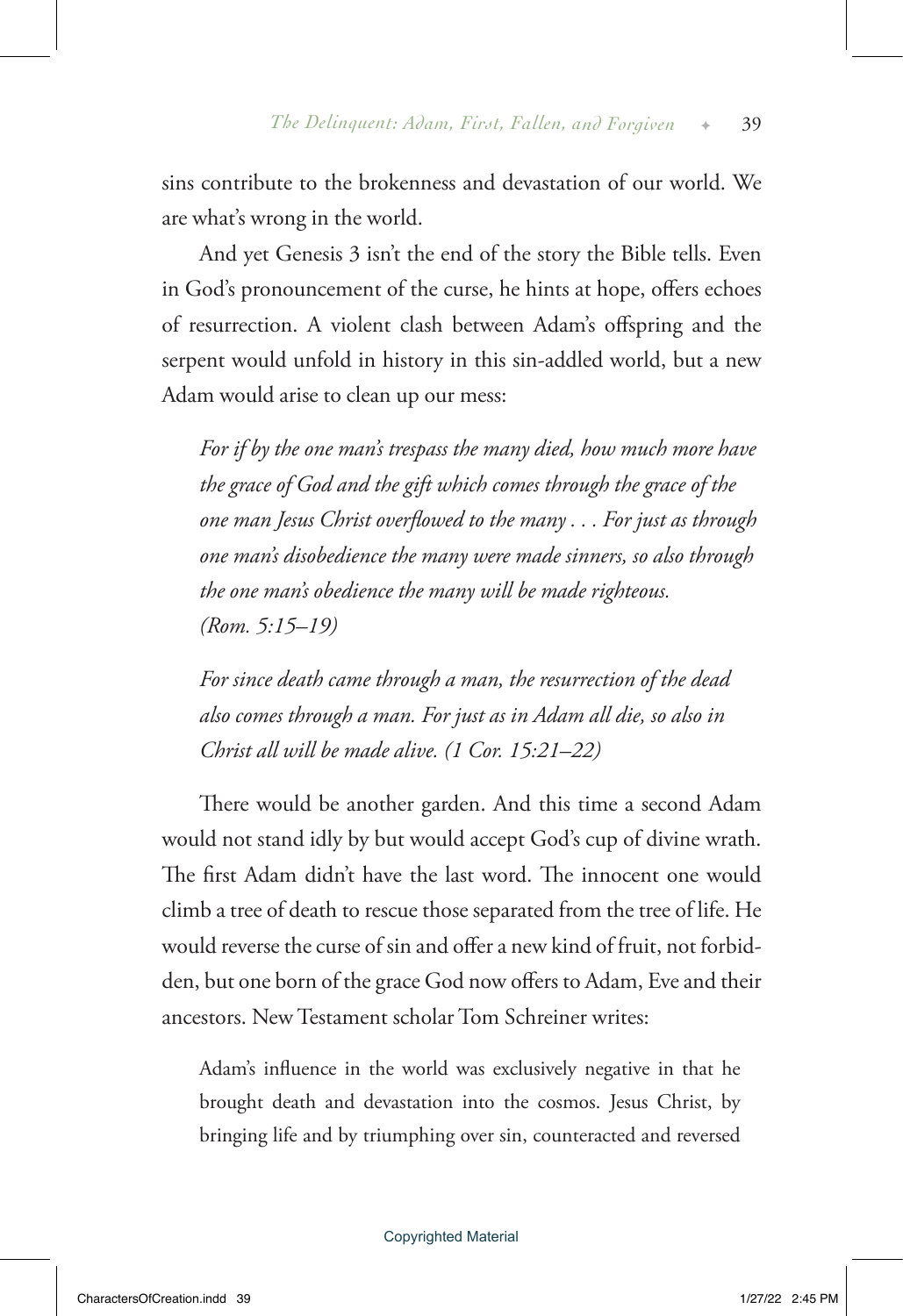sins contribute to the brokenness and devastation of our world. We are what's wrong in the world.

And yet Genesis 3 isn't the end of the story the Bible tells. Even in God's pronouncement of the curse, he hints at hope, offers echoes of resurrection. A violent clash between Adam's offspring and the serpent would unfold in history in this sin-addled world, but a new Adam would arise to clean up our mess:

*For if by the one man's trespass the many died, how much more have the grace of God and the gift which comes through the grace of the one man Jesus Christ overflowed to the many . . . For just as through one man's disobedience the many were made sinners, so also through the one man's obedience the many will be made righteous. (Rom. 5:15–19)*

*For since death came through a man, the resurrection of the dead also comes through a man. For just as in Adam all die, so also in Christ all will be made alive. (1 Cor. 15:21–22)*

There would be another garden. And this time a second Adam would not stand idly by but would accept God's cup of divine wrath. The first Adam didn't have the last word. The innocent one would climb a tree of death to rescue those separated from the tree of life. He would reverse the curse of sin and offer a new kind of fruit, not forbidden, but one born of the grace God now offers to Adam, Eve and their ancestors. New Testament scholar Tom Schreiner writes:

Adam's influence in the world was exclusively negative in that he brought death and devastation into the cosmos. Jesus Christ, by bringing life and by triumphing over sin, counteracted and reversed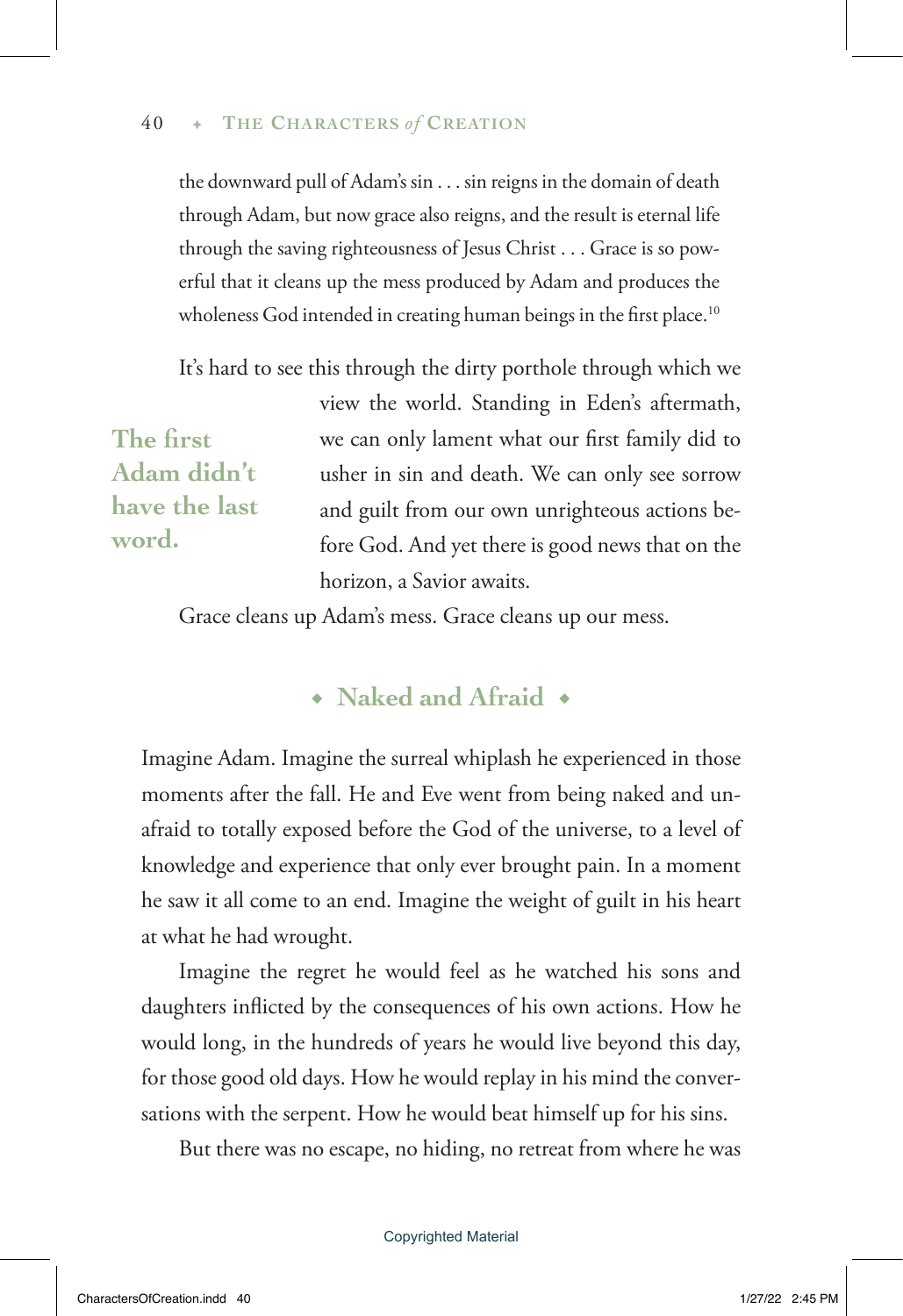## 40 ✦ **The Charact ers** *of* **Creation**

the downward pull of Adam's sin . . . sin reigns in the domain of death through Adam, but now grace also reigns, and the result is eternal life through the saving righteousness of Jesus Christ . . . Grace is so powerful that it cleans up the mess produced by Adam and produces the wholeness God intended in creating human beings in the first place.<sup>10</sup>

It's hard to see this through the dirty porthole through which we view the world. Standing in Eden's aftermath, we can only lament what our first family did to usher in sin and death. We can only see sorrow and guilt from our own unrighteous actions before God. And yet there is good news that on the horizon, a Savior awaits. **The first Adam didn't have the last word.**

Grace cleans up Adam's mess. Grace cleans up our mess.

## ◆ **Naked and Afraid** ◆

Imagine Adam. Imagine the surreal whiplash he experienced in those moments after the fall. He and Eve went from being naked and unafraid to totally exposed before the God of the universe, to a level of knowledge and experience that only ever brought pain. In a moment he saw it all come to an end. Imagine the weight of guilt in his heart at what he had wrought.

Imagine the regret he would feel as he watched his sons and daughters inflicted by the consequences of his own actions. How he would long, in the hundreds of years he would live beyond this day, for those good old days. How he would replay in his mind the conversations with the serpent. How he would beat himself up for his sins.

But there was no escape, no hiding, no retreat from where he was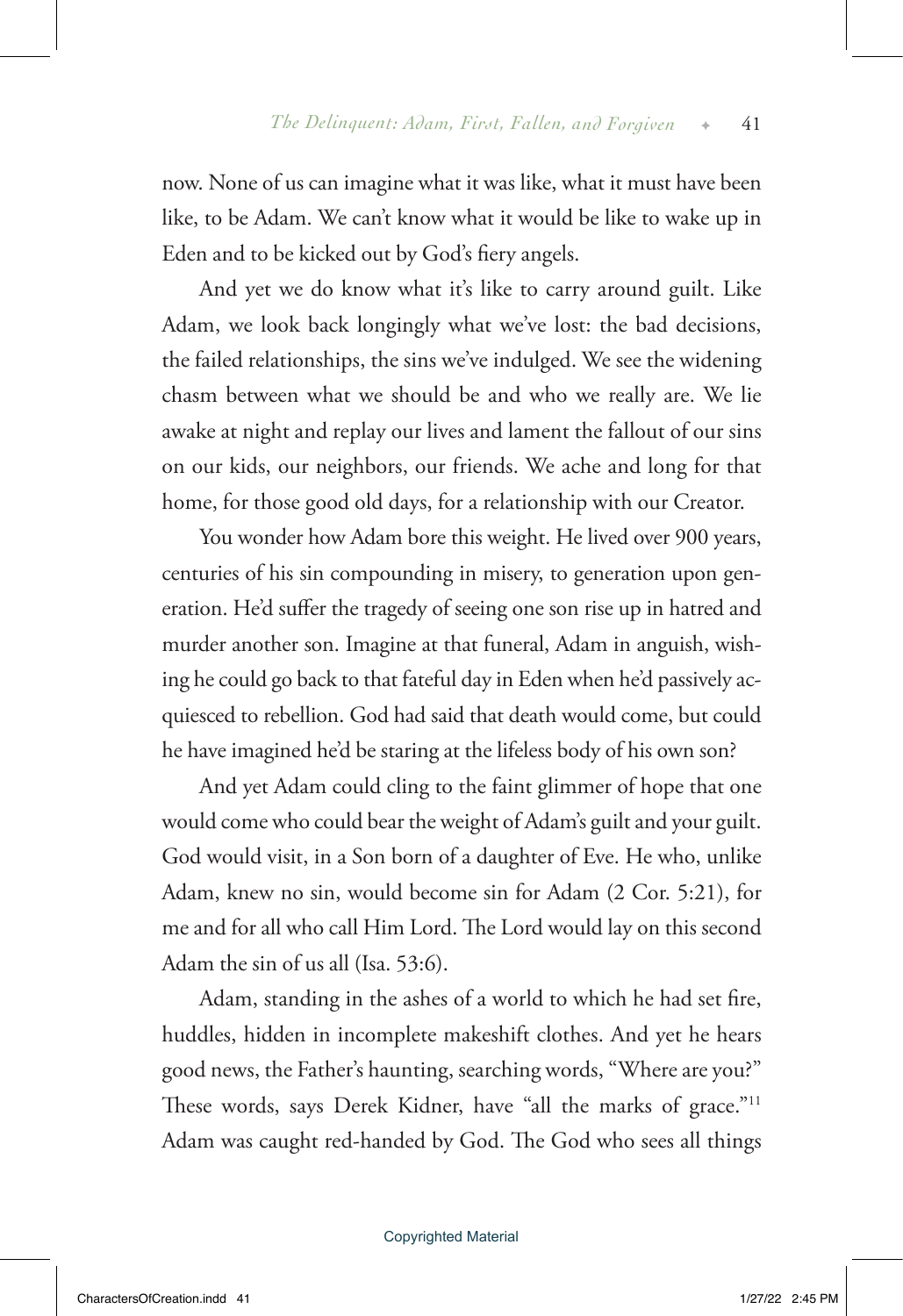now. None of us can imagine what it was like, what it must have been like, to be Adam. We can't know what it would be like to wake up in Eden and to be kicked out by God's fiery angels.

And yet we do know what it's like to carry around guilt. Like Adam, we look back longingly what we've lost: the bad decisions, the failed relationships, the sins we've indulged. We see the widening chasm between what we should be and who we really are. We lie awake at night and replay our lives and lament the fallout of our sins on our kids, our neighbors, our friends. We ache and long for that home, for those good old days, for a relationship with our Creator.

You wonder how Adam bore this weight. He lived over 900 years, centuries of his sin compounding in misery, to generation upon generation. He'd suffer the tragedy of seeing one son rise up in hatred and murder another son. Imagine at that funeral, Adam in anguish, wishing he could go back to that fateful day in Eden when he'd passively acquiesced to rebellion. God had said that death would come, but could he have imagined he'd be staring at the lifeless body of his own son?

And yet Adam could cling to the faint glimmer of hope that one would come who could bear the weight of Adam's guilt and your guilt. God would visit, in a Son born of a daughter of Eve. He who, unlike Adam, knew no sin, would become sin for Adam (2 Cor. 5:21), for me and for all who call Him Lord. The Lord would lay on this second Adam the sin of us all (Isa. 53:6).

Adam, standing in the ashes of a world to which he had set fire, huddles, hidden in incomplete makeshift clothes. And yet he hears good news, the Father's haunting, searching words, "Where are you?" These words, says Derek Kidner, have "all the marks of grace."<sup>11</sup> Adam was caught red-handed by God. The God who sees all things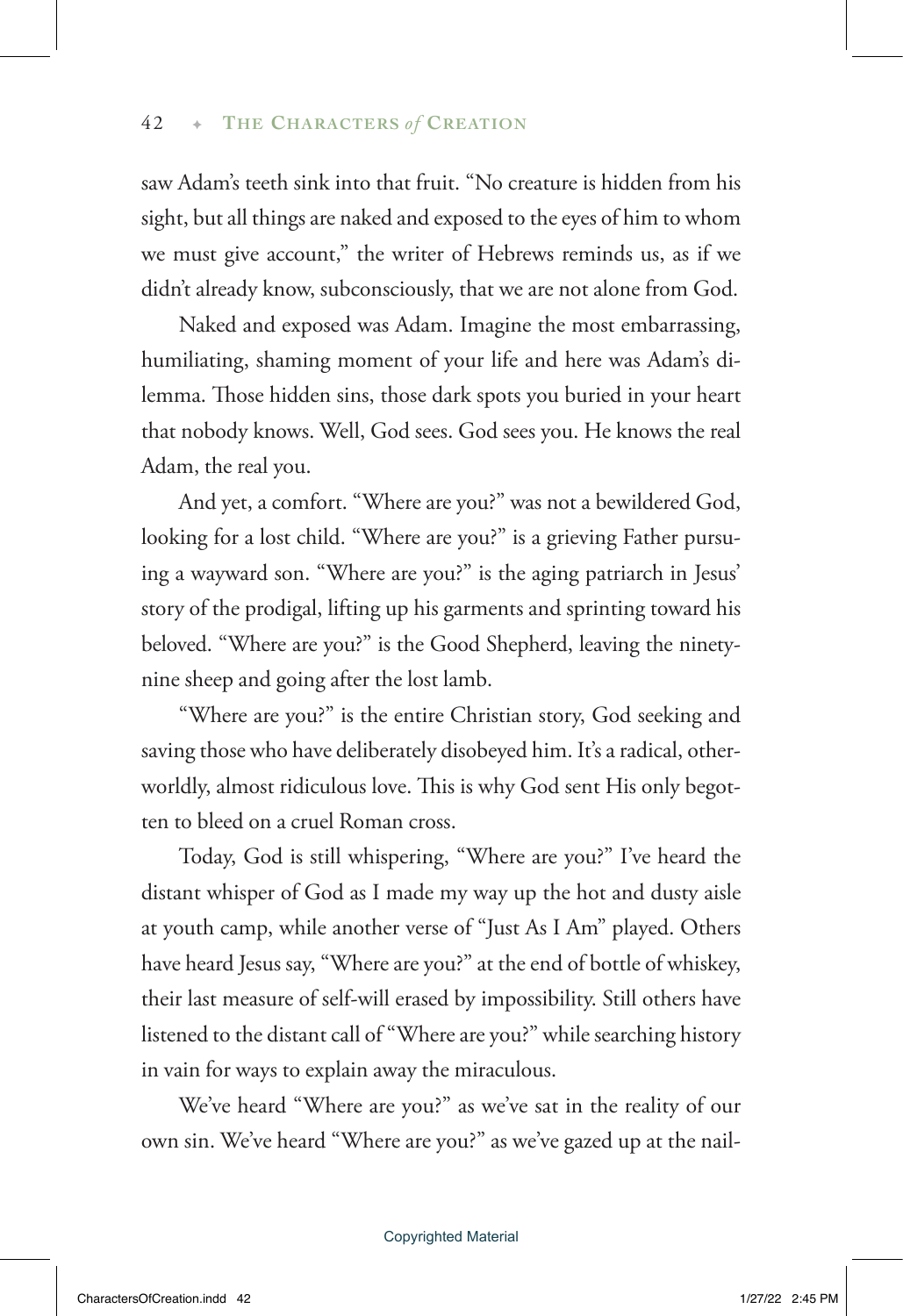saw Adam's teeth sink into that fruit. "No creature is hidden from his sight, but all things are naked and exposed to the eyes of him to whom we must give account," the writer of Hebrews reminds us, as if we didn't already know, subconsciously, that we are not alone from God.

Naked and exposed was Adam. Imagine the most embarrassing, humiliating, shaming moment of your life and here was Adam's dilemma. Those hidden sins, those dark spots you buried in your heart that nobody knows. Well, God sees. God sees you. He knows the real Adam, the real you.

And yet, a comfort. "Where are you?" was not a bewildered God, looking for a lost child. "Where are you?" is a grieving Father pursuing a wayward son. "Where are you?" is the aging patriarch in Jesus' story of the prodigal, lifting up his garments and sprinting toward his beloved. "Where are you?" is the Good Shepherd, leaving the ninetynine sheep and going after the lost lamb.

"Where are you?" is the entire Christian story, God seeking and saving those who have deliberately disobeyed him. It's a radical, otherworldly, almost ridiculous love. This is why God sent His only begotten to bleed on a cruel Roman cross.

Today, God is still whispering, "Where are you?" I've heard the distant whisper of God as I made my way up the hot and dusty aisle at youth camp, while another verse of "Just As I Am" played. Others have heard Jesus say, "Where are you?" at the end of bottle of whiskey, their last measure of self-will erased by impossibility. Still others have listened to the distant call of "Where are you?" while searching history in vain for ways to explain away the miraculous.

We've heard "Where are you?" as we've sat in the reality of our own sin. We've heard "Where are you?" as we've gazed up at the nail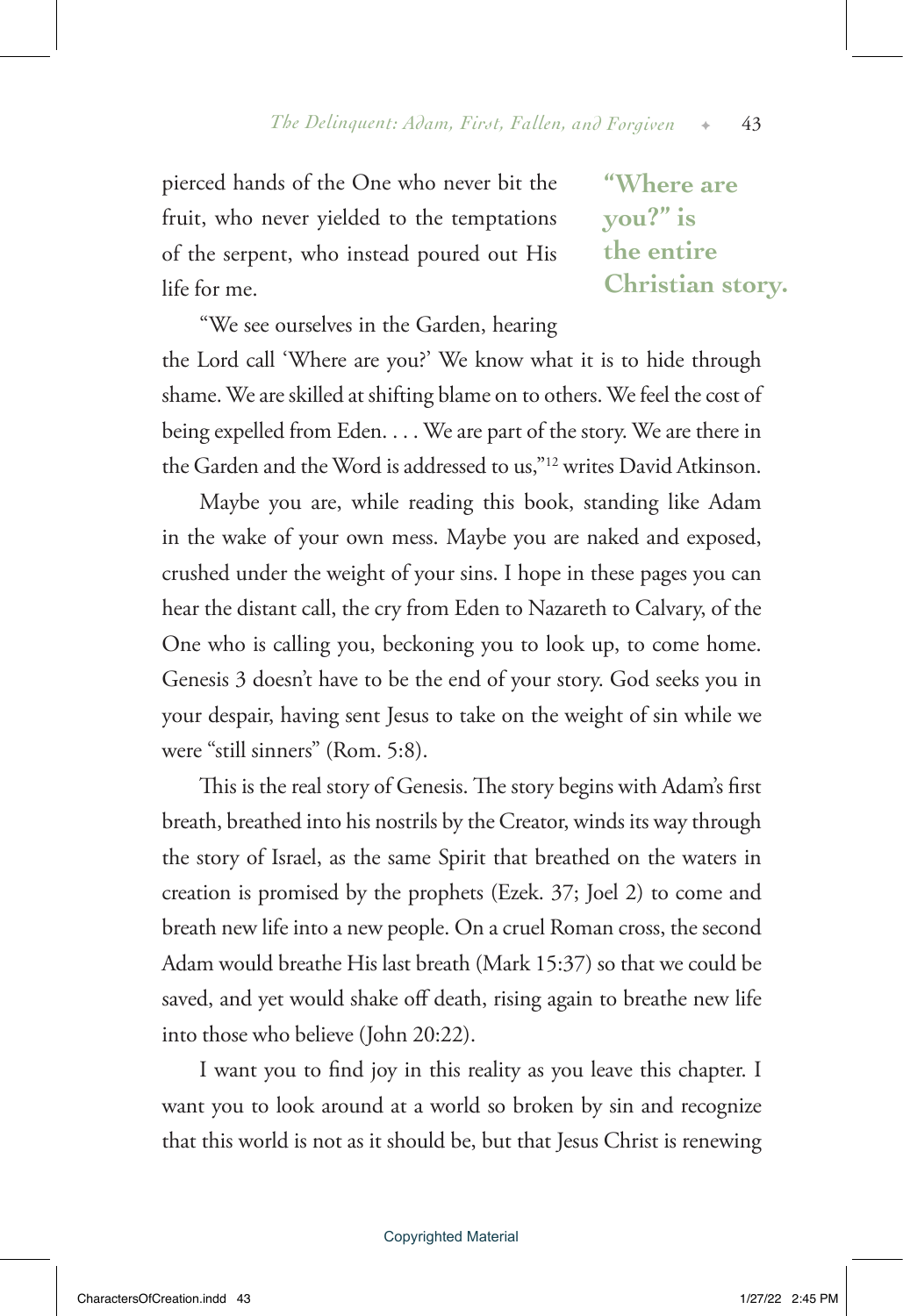pierced hands of the One who never bit the fruit, who never yielded to the temptations of the serpent, who instead poured out His life for me.

**"Where are you?" is the entire Christian story.**

"We see ourselves in the Garden, hearing the Lord call 'Where are you?' We know what it is to hide through shame. We are skilled at shifting blame on to others. We feel the cost of being expelled from Eden. . . . We are part of the story. We are there in the Garden and the Word is addressed to us,"12 writes David Atkinson.

Maybe you are, while reading this book, standing like Adam in the wake of your own mess. Maybe you are naked and exposed, crushed under the weight of your sins. I hope in these pages you can hear the distant call, the cry from Eden to Nazareth to Calvary, of the One who is calling you, beckoning you to look up, to come home. Genesis 3 doesn't have to be the end of your story. God seeks you in your despair, having sent Jesus to take on the weight of sin while we were "still sinners" (Rom. 5:8).

This is the real story of Genesis. The story begins with Adam's first breath, breathed into his nostrils by the Creator, winds its way through the story of Israel, as the same Spirit that breathed on the waters in creation is promised by the prophets (Ezek. 37; Joel 2) to come and breath new life into a new people. On a cruel Roman cross, the second Adam would breathe His last breath (Mark 15:37) so that we could be saved, and yet would shake off death, rising again to breathe new life into those who believe (John 20:22).

I want you to find joy in this reality as you leave this chapter. I want you to look around at a world so broken by sin and recognize that this world is not as it should be, but that Jesus Christ is renewing